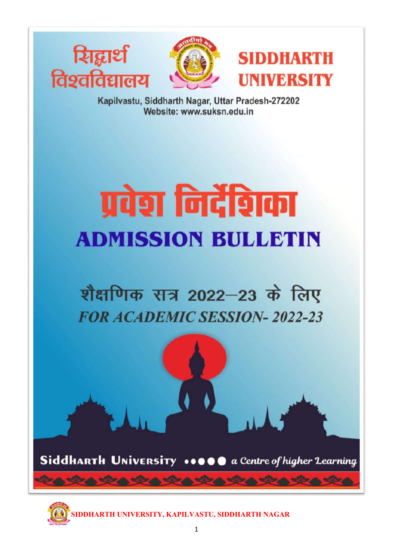





Kapilvastu, Siddharth Nagar, Uttar Pradesh-272202 Website: www.suksn.edu.in

# प्रवेश निर्देशिका **ADMISSION BULLETIN**

# शैक्षणिक सत्र 2022-23 के लिए **FOR ACADEMIC SESSION-2022-23**

SiddHARTH UNIVERSITY ••• O @ a Centre of higher Learning

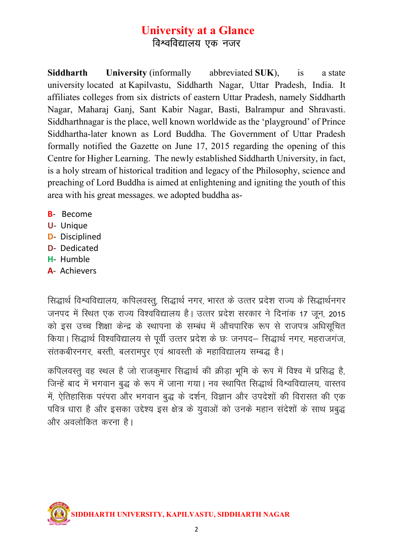# University at a Glance विश्वविद्यालय एक नजर

Siddharth University (informally abbreviated SUK), is a state university located at Kapilvastu, Siddharth Nagar, Uttar Pradesh, India. It affiliates colleges from six districts of eastern Uttar Pradesh, namely Siddharth Nagar, Maharaj Ganj, Sant Kabir Nagar, Basti, Balrampur and Shravasti. Siddharthnagar is the place, well known worldwide as the 'playground' of Prince Siddhartha-later known as Lord Buddha. The Government of Uttar Pradesh formally notified the Gazette on June 17, 2015 regarding the opening of this Centre for Higher Learning. The newly established Siddharth University, in fact, is a holy stream of historical tradition and legacy of the Philosophy, science and preaching of Lord Buddha is aimed at enlightening and igniting the youth of this area with his great messages. we adopted buddha as-

- B- Become
- U- Unique
- D- Disciplined
- D- Dedicated
- H- Humble
- A- Achievers

सिद्धार्थ विश्वविद्यालय, कपिलवस्तू, सिद्धार्थ नगर, भारत के उत्तर प्रदेश राज्य के सिद्धार्थनगर जनपद में स्थित एक राज्य विश्वविद्यालय है। उत्तर प्रदेश सरकार ने दिनांक 17 जून, 2015 को इस उच्च शिक्षा केन्द्र के स्थापना के सम्बंध में औचपारिक रूप से राजपत्र अधिसूचित किया। सिद्धार्थ विश्वविद्यालय से पूर्वी उत्तर प्रदेश के छः जनपद– सिद्धार्थ नगर, महराजगंज, संतकबीरनगर, बस्ती, बलरामपुर एवं श्रावस्ती के महाविद्यालय सम्बद्ध है।

कपिलवस्तु वह स्थल है जो राजकुमार सिद्धार्थ की क्रीड़ा भूमि के रूप में विश्व में प्रसिद्ध है, जिन्हें बाद में भगवान बुद्ध के रूप में जाना गया। नव स्थापित सिद्धार्थ विश्वविद्यालय, वास्तव में, ऐतिहासिक परंपरा और भगवान बद्ध के दर्शन, विज्ञान और उपदेशों की विरासत की एक पवित्र धारा है और इसका उद्देश्य इस क्षेत्र के युवाओं को उनके महान संदेशों के साथ प्रबुद्ध ओर अवलोकित करना है।

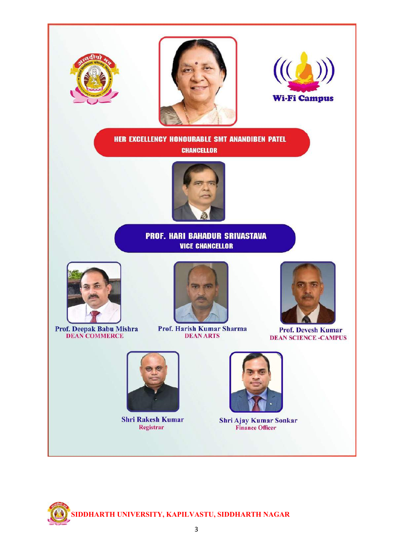

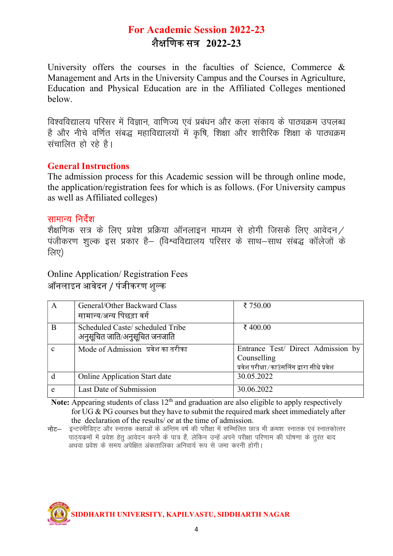# For Academic Session 2022-23 <u>शैक्षणिक सत्र 2022-23</u>

University offers the courses in the faculties of Science, Commerce  $\&$ Management and Arts in the University Campus and the Courses in Agriculture, Education and Physical Education are in the Affiliated Colleges mentioned below.

विश्वविद्यालय परिसर में विज्ञान, वाणिज्य एवं प्रबंधन और कला संकाय के पाठ्यक्रम उपलब्ध है और नीचे वर्णित संबद्ध महाविद्यालयों में कृषि, शिक्षा और शारीरिक शिक्षा के पाठ्यक्रम संचालित हो रहे है।

#### General Instructions

The admission process for this Academic session will be through online mode, the application/registration fees for which is as follows. (For University campus as well as Affiliated colleges)

#### सामान्य निर्देश

शैक्षणिक सत्र के लिए प्रवेश प्रक्रिया ऑनलाइन माध्यम से होगी जिसके लिए आवेदन / .<br>पंजीकरण शल्क इस प्रकार है– (विश्वविद्यालय परिसर के साथ–साथ संबद्ध कॉलेजों के लिए)

Online Application/ Registration Fees ऑनलाइन आवेदन / पंजीकरण शुल्क

| A            | General/Other Backward Class<br>सामान्य/अन्य पिछड़ा वर्ग          | ₹ 750.00                                                                                         |
|--------------|-------------------------------------------------------------------|--------------------------------------------------------------------------------------------------|
| B            | Scheduled Caste/ scheduled Tribe<br>अनुसूचित जाति/अनुसूचित जनजाति | ₹ 400.00                                                                                         |
| $\mathbf{c}$ | Mode of Admission प्रवेश का तरीका                                 | Entrance Test/ Direct Admission by<br>Counselling<br>प्रवेश परीक्षा/काउंसलिंग द्वारा सीधे प्रवेश |
|              | <b>Online Application Start date</b>                              | 30.05.2022                                                                                       |
| e            | Last Date of Submission                                           | 30.06.2022                                                                                       |

Note: Appearing students of class  $12<sup>th</sup>$  and graduation are also eligible to apply respectively for UG & PG courses but they have to submit the required mark sheet immediately after the declaration of the results/ or at the time of admission.

**नोट**— इन्टरंमीडिएट और स्नातक कक्षाओं के अन्तिम वर्ष की परीक्षा में सम्मिलित छात्र भी क्रमशः स्नातक एवं स्नातकोत्तर पाठयक्रमों में प्रवेश हेतु आवेदन करने के पात्र हैं, लेकिन उन्हें अपने परीक्षा परिणाम की घोषणा के तुरंत बाद <u>अथवा प्रवेश के समय अपेक्षित अंकतालिका अनिवार्य रूप से जमा करनी होगी।</u>

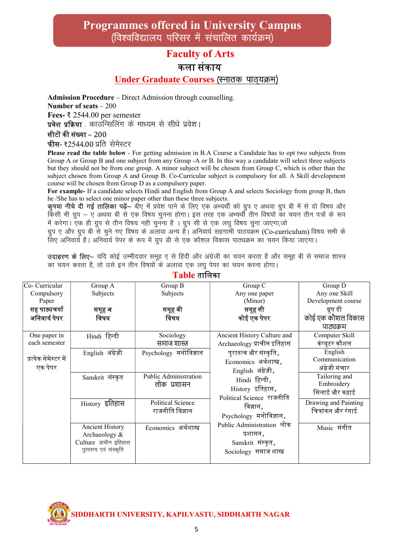### Programmes offered in University Campus (विश्वविद्यालय परिसर में संचालित कार्यक्रम)

#### Faculty of Arts

#### कला संकाय

#### Under Graduate Courses (स्नातक पाठ्यक्रम)

Admission Procedure – Direct Admission through counselling. Number of seats – 200 Fees- ₹ 2544.00 per semester

प्रवेश प्रक्रिया . काउन्सिलिंग के माध्यम से सीधे प्रवेश।

सीटों की संख्या – 200

फीस- ₹2544.00 प्रति सेमेस्टर

Please read the table below - For getting admission in B.A Course a Candidate has to opt two subjects from Group A or Group B and one subject from any Group -A or B. In this way a candidate will select three subjects but they should not be from one group. A minor subject will be chosen from Group C, which is other than the subject chosen from Group A and Group B. Co-Curricular subject is compulsory for all. A Skill development course will be chosen from Group D as a compulsory paper.

For example- If a candidate selects Hindi and English from Group A and selects Sociology from group B, then he /She has to select one minor paper other than these three subjects.

**कृपया नीचे दी गई तालिका पढ़ें**— बीए में प्रवेश पाने के लिए एक अभ्यर्थी को ग्रुप ए अथवा ग्रुप बी में से दो विषय और किसी भी ग्रुप – ए अथवा बी से एक विषय चुनना होगा। इस तरह एक अभ्यर्थी तीन विषयों का चयन तीन पत्रों के रूप में करेगा। एक ही ग्रुप से तीन विषय नही चुनना है । ग्रुप सी से एक लघु विषय चुना जाएगा,जो

ग्रुप ए और ग्रुप बी से चुने गए विषय के अलावा अन्य है। अनिवार्य सहगामी पाठयक्रम (Co-curriculum) विषय सभी के लिए अनिवार्य है। अनिवार्य पेपर के रूप में ग्रुप डी से एक कौशल विकास पाठ्यक्रम का चयन किया जाएगा।

उदाहरण के लिए- यदि कोई उम्मीदवार समूह ए से हिंदी और अंग्रेजी का चयन करता है और समूह बी से समाज शास्त्र का चयन करता है, तो उसे इन तीन विषयों के अलावा एक लघु पेपर का चयन करना होगा।

| Co- Curricular        | Group A                 | Group B                  | Group C                     | Group D              |
|-----------------------|-------------------------|--------------------------|-----------------------------|----------------------|
| Compulsory            | Subjects                | Subjects                 | Any one paper               | Any one Skill        |
| Paper                 |                         |                          | (Minor)                     | Development course   |
| सह पाठ्यचर्या         | समूह अ                  | समूह बी                  | समूह सी                     | ग्रुप डी             |
| अनिवार्य पेपर         | विषय                    | विषय                     | कोई एक पेपर                 | कोई एक कौशल विकास    |
|                       |                         |                          |                             | पाठ्यक्रम            |
| One paper in          | Hindi हिन्दी            | Sociology                | Ancient History Culture and | Computer Skill       |
| each semester         |                         | समाज शास्त               | Archaeology प्राचीन इतिहास  | कंप्यूटर कौशल        |
|                       | English अंग्रेज़ी       | Psychology मनोविज्ञान    | पुरातत्व और संस्कृति ,      | English              |
| प्रत्येक सेमेस्टर में |                         |                          | Economics अर्थशास्त्र,      | Communication        |
| एक पेपर               |                         |                          | English अंग्रेज़ी,          | अंग्रेजी संचार       |
|                       | Sanskrit संस्कृत        | Public Administration    | Hindi हिन्दी,               | Tailoring and        |
|                       |                         | लोक प्रशासन              | History इतिहास,             | Embroidery           |
|                       |                         |                          | Political Science राजनीति   | सिलाई और कढ़ाई       |
|                       | History इतिहास          | <b>Political Science</b> |                             | Drawing and Painting |
|                       |                         | राजनीति विज्ञान          | विज्ञान <i>,</i>            | चित्रांकन और रंगाई   |
|                       |                         |                          | Psychology मनोविज्ञान,      |                      |
|                       | <b>Ancient History</b>  | Economics अर्थशास्त्र    | Public Administration लोक   | Music संगीत          |
|                       | Archaeology &           |                          | प्रशासन ,                   |                      |
|                       | Culture प्राचीन इतिहास  |                          | Sanskrit संस्कृत,           |                      |
|                       | पुरातत्त्व एवं संस्कृति |                          | Sociology समाज शास्त्र      |                      |
|                       |                         |                          |                             |                      |

 $Table$  तालिका

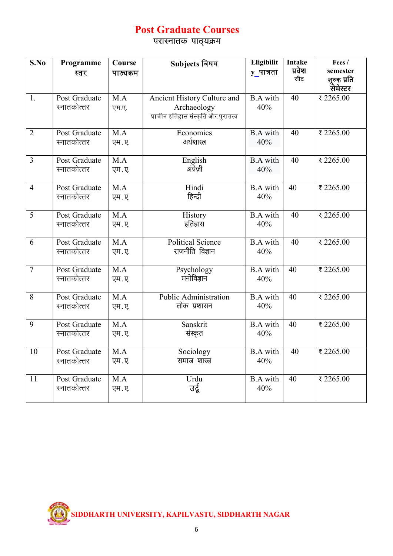# Post Graduate Courses

.<br>परास्नातक पाठ्यक्रम

| S.No           | Programme<br>स्तर            | Course<br>पाठ्यक्रम       | Subjects विषय                                                                     | Eligibilit<br>$y$ पात्रता | <b>Intake</b><br>प्रवेश<br>सीट | Fees /<br>semester<br>शुल्क प्रति |
|----------------|------------------------------|---------------------------|-----------------------------------------------------------------------------------|---------------------------|--------------------------------|-----------------------------------|
|                |                              |                           |                                                                                   |                           |                                | सेमेस्टर                          |
| 1.             | Post Graduate<br>स्नातकोत्तर | M.A<br>एम.ए.              | Ancient History Culture and<br>Archaeology<br>प्राचीन इतिहास संस्कृति और पुरातत्व | <b>B.A</b> with<br>40%    | 40                             | ₹2265.00                          |
| $\overline{2}$ | Post Graduate<br>स्नातकोत्तर | M.A<br>एम.ए.              | Economics<br>अर्थशास्त्र                                                          | <b>B.A</b> with<br>40%    | 40                             | ₹2265.00                          |
| 3              | Post Graduate<br>स्नातकोत्तर | M.A<br>एम.ए.              | English<br>अंग्रेज़ी                                                              | <b>B.A</b> with<br>40%    | 40                             | ₹2265.00                          |
| $\overline{4}$ | Post Graduate<br>स्नातकोत्तर | M.A<br>एम.ए.              | Hindi<br>हिन्दी                                                                   | <b>B.A</b> with<br>40%    | 40                             | ₹ 2265.00                         |
| 5              | Post Graduate<br>स्नातकोत्तर | M.A<br>एम.ए.              | History<br>इतिहास                                                                 | <b>B.A</b> with<br>40%    | 40                             | ₹2265.00                          |
| 6              | Post Graduate<br>स्नातकोत्तर | M.A<br>एम.ए.              | Political Science<br>राजनीति विज्ञान                                              | <b>B.A</b> with<br>40%    | 40                             | ₹2265.00                          |
| $\overline{7}$ | Post Graduate<br>स्नातकोत्तर | M.A<br>एम.ए.              | Psychology<br>मनोविज्ञान                                                          | <b>B.A</b> with<br>40%    | 40                             | ₹2265.00                          |
| 8              | Post Graduate<br>स्नातकोत्तर | M.A<br>एम.ए.              | <b>Public Administration</b><br>लोक प्रशासन                                       | <b>B.A</b> with<br>40%    | 40                             | ₹2265.00                          |
| 9              | Post Graduate<br>स्नातकोत्तर | M.A<br>एम.ए.              | Sanskrit<br>संस्कृत                                                               | <b>B.A</b> with<br>40%    | 40                             | ₹2265.00                          |
| 10             | Post Graduate<br>स्नातकोत्तर | $\overline{M.A}$<br>एम.ए. | Sociology<br>समाज शास्त्र                                                         | <b>B.A</b> with<br>40%    | 40                             | ₹ 2265.00                         |
| 11             | Post Graduate<br>स्नातकोत्तर | M.A<br>एम.ए.              | Urdu<br>उर्दू                                                                     | <b>B.A</b> with<br>40%    | 40                             | ₹2265.00                          |

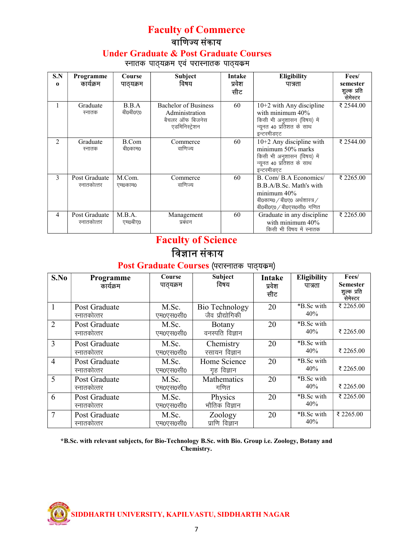#### Faculty of Commerce वाणिज्य संकाय Under Graduate & Post Graduate Courses स्नातक पाठ्यक्रम एवं परास्नातक पाठ्यक्रम

| S.N<br>$\bf{0}$ | Programme<br>कार्यक्रम       | Course<br>पाठ्यक्रम | <b>Subject</b><br>विषय                                                             | <b>Intake</b><br>प्रवेश<br>सीट | Eligibility<br>पात्रता                                                                                                         | Fees/<br>semester<br>शल्क प्रति<br>सेमेस्टर |
|-----------------|------------------------------|---------------------|------------------------------------------------------------------------------------|--------------------------------|--------------------------------------------------------------------------------------------------------------------------------|---------------------------------------------|
| 1               | Graduate<br>स्नातक           | B.B.A<br>बी0बी0ए0   | <b>Bachelor of Business</b><br>Administration<br>बैचलर ऑफ बिजनेस<br>एडमिनिस्ट्रेशन | 60                             | $10+2$ with Any discipline<br>with minimum $40\%$<br>किसी भी अनुशासन (विषय) में<br>न्यूनत 40 प्रतिशत के साथ<br>इन्टरमीडएट      | ₹ 2544.00                                   |
| $\mathfrak{D}$  | Graduate<br>स्नातक           | B.Com<br>बी0काम0    | Commerce<br>वाणिज्य                                                                | 60                             | $10+2$ Any discipline with<br>minimum 50% marks<br>किसी भी अनुशासन (विषय) में<br>न्यूनत 40 प्रतिशत के साथ<br>इन्टरमीडएट        | ₹ 2544.00                                   |
| 3               | Post Graduate<br>स्नातकोत्तर | M.Com.<br>एम0काम0   | Commerce<br>वाणिज्य                                                                | 60                             | B. Com/ B.A Economics/<br>B.B.A/B.Sc. Math's with<br>minimum 40%<br>बी0काम0 / बी0ए0 अर्थशास्त्र /<br>बी0बी0ए0 / बी0एस0सी0 गणित | ₹ 2265.00                                   |
| 4               | Post Graduate<br>स्नातकोत्तर | M.B.A.<br>एम0बीए0   | Management<br>प्रबंधन                                                              | 60                             | Graduate in any discipline<br>with minimum 40%<br>किसी भी विषय में स्नातक                                                      | ₹ 2265.00                                   |

# Faculty of Science विज्ञान संकाय

## Post Graduate Courses (परास्नातक पाठ्यक्रम)

| S.No           | <b>Programme</b><br>कार्यक्रम | Course<br>पाठ्यक्रम | <b>Subject</b><br>विषय             | <b>Intake</b><br>प्रवेश<br>सीट | <b>Eligibility</b><br>पात्रता | Fees/<br><b>Semester</b><br>शुल्क प्रति<br><del>्</del><br>सेमेस्टर |
|----------------|-------------------------------|---------------------|------------------------------------|--------------------------------|-------------------------------|---------------------------------------------------------------------|
|                | Post Graduate<br>स्नातकोत्तर  | M.Sc.<br>एम0एस0सी0  | Bio Technology<br>जैव प्रौद्योगिकी | 20                             | *B.Sc with<br>40%             | ₹ 2265.00                                                           |
| $\overline{2}$ | Post Graduate<br>स्नातकोत्तर  | M.Sc.<br>एम0एस0सी0  | <b>Botany</b><br>वनस्पति विज्ञान   | 20                             | *B.Sc with<br>40%             | ₹ 2265.00                                                           |
| 3              | Post Graduate<br>स्नातकोत्तर  | M.Sc.<br>एम0एस0सी0  | Chemistry<br>रसायन विज्ञान         | 20                             | *B.Sc with<br>40%             | ₹ 2265.00                                                           |
| $\overline{4}$ | Post Graduate<br>स्नातकोत्तर  | M.Sc.<br>एम0एस0सी0  | Home Science<br>गृह विज्ञान        | 20                             | *B.Sc with<br>40%             | ₹ 2265.00                                                           |
| 5              | Post Graduate<br>स्नातकोत्तर  | M.Sc.<br>एम0एस0सी0  | Mathematics<br>गणित                | 20                             | *B.Sc with<br>40%             | ₹ 2265.00                                                           |
| 6              | Post Graduate<br>स्नातकोत्तर  | M.Sc.<br>एम0एस0सी0  | Physics<br>भौतिक विज्ञान           | 20                             | *B.Sc with<br>40%             | ₹ 2265.00                                                           |
| 7              | Post Graduate<br>स्नातकोत्तर  | M.Sc.<br>एम0एस0सी0  | Zoology<br>प्राणि विज्ञान          | 20                             | *B.Sc with<br>40%             | ₹ 2265.00                                                           |

#### \*B.Sc. with relevant subjects, for Bio-Technology B.Sc. with Bio. Group i.e. Zoology, Botany and Chemistry.

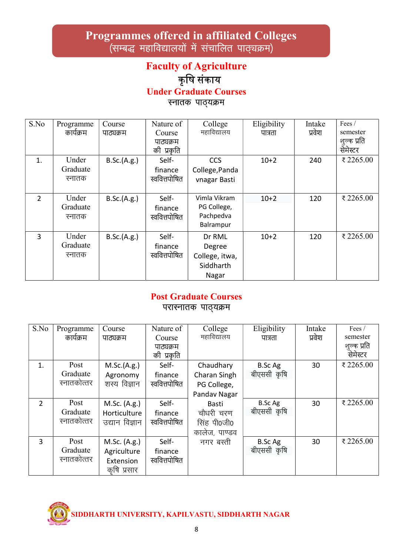# Programmes offered in affiliated Colleges ,<br>(सम्बद्ध महाविद्यालयों में संचालित पाठ्यक्रम)

# Faculty of Agriculture कृषि संकाय Under Graduate Courses

स्नातक पाठ्यक्रम

| S.No           | Programme | Course      | Nature of     | College        | Eligibility | Intake | Fees /      |
|----------------|-----------|-------------|---------------|----------------|-------------|--------|-------------|
|                | कार्यक्रम | पाठ्यक्रम   | Course        | महाविद्यालय    | पात्रता     | प्रवेश | semester    |
|                |           |             | पाठ्यक्रम     |                |             |        | शुल्क प्रति |
|                |           |             | की प्रकृति    |                |             |        | सेमेस्टर    |
| 1.             | Under     | B.Sc.(A.g.) | Self-         | CCS            | $10+2$      | 240    | ₹2265.00    |
|                | Graduate  |             | finance       | College, Panda |             |        |             |
|                | स्नातक    |             | स्ववित्तपोषित | vnagar Basti   |             |        |             |
|                |           |             |               |                |             |        |             |
| $\overline{2}$ | Under     | B.Sc.(A.g.) | Self-         | Vimla Vikram   | $10+2$      | 120    | ₹2265.00    |
|                | Graduate  |             | finance       | PG College,    |             |        |             |
|                | स्नातक    |             | स्ववित्तपोषित | Pachpedva      |             |        |             |
|                |           |             |               | Balrampur      |             |        |             |
| $\overline{3}$ | Under     | B.Sc.(A.g.) | Self-         | Dr RML         | $10+2$      | 120    | ₹2265.00    |
|                | Graduate  |             | finance       | Degree         |             |        |             |
|                | स्नातक    |             | स्ववित्तपोषित | College, itwa, |             |        |             |
|                |           |             |               | Siddharth      |             |        |             |
|                |           |             |               | Nagar          |             |        |             |

#### Post Graduate Courses परास्नातक पाठ्यक्रम

| S.No           | Programme   | Course         | Nature of     | College       | Eligibility    | Intake | Fees /      |
|----------------|-------------|----------------|---------------|---------------|----------------|--------|-------------|
|                | कार्यक्रम   | पाठ्यक्रम      | Course        | महाविद्यालय   | पात्रता        | प्रवेश | semester    |
|                |             |                | पाठ्यक्रम     |               |                |        | शुल्क प्रति |
|                |             |                | की प्रकृति    |               |                |        | सेमेस्टर    |
| 1.             | Post        | M.Sc.(A.g.)    | Self-         | Chaudhary     | B.Sc Ag        | 30     | ₹2265.00    |
|                | Graduate    | Agronomy       | finance       | Charan Singh  | बीएससी कृषि    |        |             |
|                | स्नातकोत्तर | शस्य विज्ञान   | स्ववित्तपोषित | PG College,   |                |        |             |
|                |             |                |               | Pandav Nagar  |                |        |             |
| $\overline{2}$ | Post        | M.Sc. (A.g.)   | Self-         | <b>Basti</b>  | <b>B.Sc Ag</b> | 30     | ₹2265.00    |
|                | Graduate    | Horticulture   | finance       | चौधरी चरण     | बीएससी कृषि    |        |             |
|                | स्नातकोत्तर | उद्यान विज्ञान | स्ववित्तपोषित | सिंह पी0जी0   |                |        |             |
|                |             |                |               | कालेज, पाण्डव |                |        |             |
| 3              | Post        | M.Sc. (A.g.)   | Self-         | नगर बस्ती     | B.Sc Ag        | 30     | ₹2265.00    |
|                | Graduate    | Agriculture    | finance       |               | बीएससी कृषि    |        |             |
|                | स्नातकोत्तर | Extension      | स्ववित्तपोषित |               |                |        |             |
|                |             | कृषि प्रसार    |               |               |                |        |             |

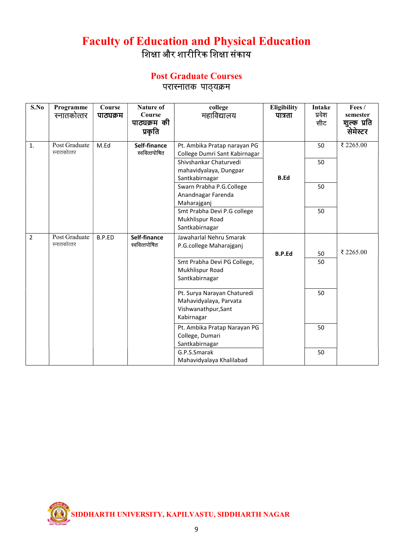# Faculty of Education and Physical Education शिक्षा और शारीरिक शिक्षा संकाय

# Post Graduate Courses

परास्नातक पाठ्यक्रम

| S.No           | Programme<br>स्नातकोत्तर     | Course<br>पाठ्यक्रम | <b>Nature of</b><br>Course<br>पाठ्यक्रम की<br>प्रकृति | college<br>महाविद्यालय                                                                     | Eligibility<br>पात्रता | <b>Intake</b><br>प्रवेश<br>सीट | Fees/<br>semester<br>शुल्क प्रति<br>सेमेस्टर |
|----------------|------------------------------|---------------------|-------------------------------------------------------|--------------------------------------------------------------------------------------------|------------------------|--------------------------------|----------------------------------------------|
| 1.             | Post Graduate<br>स्नातकोत्तर | M.Ed                | Self-finance<br>स्ववित्तपोषित                         | Pt. Ambika Pratap narayan PG<br>College Dumri Sant Kabirnagar                              |                        | 50                             | ₹ 2265.00                                    |
|                |                              |                     |                                                       | Shivshankar Chaturvedi<br>mahavidyalaya, Dungpar<br>Santkabirnagar                         | <b>B.Ed</b>            | 50                             |                                              |
|                |                              |                     |                                                       | Swarn Prabha P.G.College<br>Anandnagar Farenda<br>Maharajganj                              |                        | 50                             |                                              |
|                |                              |                     |                                                       | Smt Prabha Devi P.G college<br>Mukhlispur Road<br>Santkabirnagar                           |                        | 50                             |                                              |
| $\overline{2}$ | Post Graduate<br>स्नातकोत्तर | B.P.ED              | Self-finance<br>स्ववित्तपोषित                         | Jawaharlal Nehru Smarak<br>P.G.college Maharajganj                                         | <b>B.P.Ed</b>          | 50                             | ₹ 2265.00                                    |
|                |                              |                     |                                                       | Smt Prabha Devi PG College,<br>Mukhlispur Road<br>Santkabirnagar                           |                        | 50                             |                                              |
|                |                              |                     |                                                       | Pt. Surya Narayan Chaturedi<br>Mahavidyalaya, Parvata<br>Vishwanathpur, Sant<br>Kabirnagar |                        | 50                             |                                              |
|                |                              |                     |                                                       | Pt. Ambika Pratap Narayan PG<br>College, Dumari<br>Santkabirnagar                          |                        | 50                             |                                              |
|                |                              |                     |                                                       | G.P.S.Smarak<br>Mahavidyalaya Khalilabad                                                   |                        | 50                             |                                              |

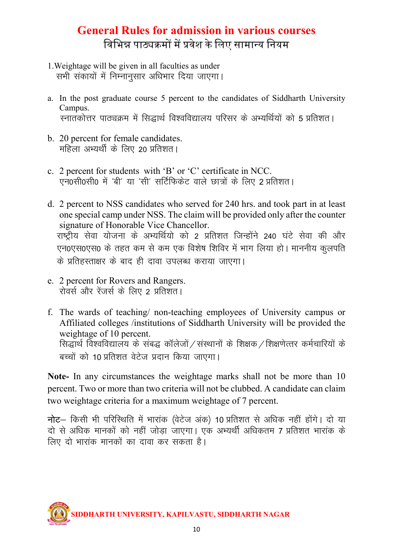# **General Rules for admission in various courses** विभिन्न पाठ्यक्रमों में प्रवेश के लिए सामान्य नियम

- 1. Weightage will be given in all faculties as under सभी संकायों में निम्नानसार अधिभार दिया जाएगा।
- a. In the post graduate course 5 percent to the candidates of Siddharth University Campus. स्नातकोत्तर पाठ्यक्रम में सिद्धार्थ विश्वविद्यालय परिसर के अभ्यर्थियों को 5 प्रतिशत।
- b. 20 percent for female candidates. महिला अभ्यर्थी के लिए 20 प्रतिशत।
- c. 2 percent for students with 'B' or 'C' certificate in NCC. एन0सी0सी0 में 'बी' या 'सी' सर्टिफिकेट वाले छात्रों के लिए 2 प्रतिशत।
- d. 2 percent to NSS candidates who served for 240 hrs. and took part in at least one special camp under NSS. The claim will be provided only after the counter signature of Honorable Vice Chancellor. राष्ट्रीय सेवा योजना के अभ्यर्थियो को 2 प्रतिशत जिन्होंने 240 घंटे सेवा की और एन0एस0एस0 के तहत कम से कम एक विशेष शिविर में भाग लिया हो। माननीय कुलपति के प्रतिहस्ताक्षर के बाद ही दावा उपलब्ध कराया जाएगा।
- e. 2 percent for Rovers and Rangers. रोवर्स और रेंजर्स के लिए 2 प्रतिशत।
- f. The wards of teaching/ non-teaching employees of University campus or Affiliated colleges /institutions of Siddharth University will be provided the weightage of 10 percent. सिद्धार्थ विश्वविद्यालय के संबद्ध कॉलेजों / संस्थानों के शिक्षक / शिक्षणेत्तर कर्मचारियों के बच्चों को 10 प्रतिशत वेटेज प्रदान किया जाएगा।

Note- In any circumstances the weightage marks shall not be more than 10 percent. Two or more than two criteria will not be clubbed. A candidate can claim two weightage criteria for a maximum weightage of 7 percent.

नोट- किसी भी परिस्थिति में भारांक (वेटेज अंक) 10 प्रतिशत से अधिक नहीं होंगे। दो या दो से अधिक मानकों को नहीं जोड़ा जाएगा। एक अभ्यर्थी अधिकतम 7 प्रतिशत भारांक के लिए दो भारांक मानकों का दावा कर सकता है।

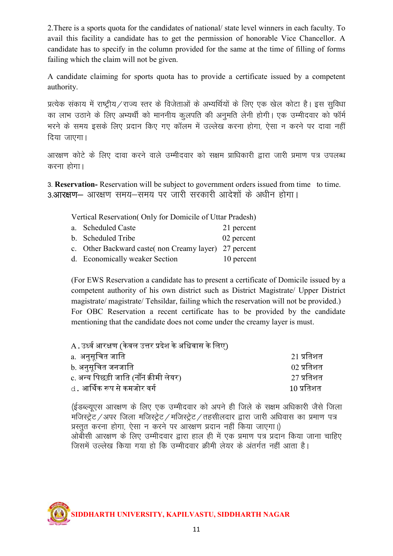2.There is a sports quota for the candidates of national/ state level winners in each faculty. To avail this facility a candidate has to get the permission of honorable Vice Chancellor. A candidate has to specify in the column provided for the same at the time of filling of forms failing which the claim will not be given.

A candidate claiming for sports quota has to provide a certificate issued by a competent authority.

प्रत्येक संकाय में राष्ट्रीय/राज्य स्तर के विजेताओं के अभ्यर्थियों के लिए एक खेल कोटा है। इस सुविधा का लाभ उठाने के लिए अभ्यर्थी को माननीय कलपति की अनमति लेनी होगी। एक उम्मीदवार को फॉर्म भरने के समय इसके लिए प्रदान किए गए कॉलम में उल्लेख करना होगा, ऐसा न करने पर दावा नहीं दिया जाएगा।

आरक्षण कोटे के लिए दावा करने वाले उम्मीदवार को सक्षम प्राधिकारी द्वारा जारी प्रमाण पत्र उपलब्ध करना होगा।

3- Reservation- Reservation will be subject to government orders issued from time to time. 3.आरक्षण- आरक्षण समय-समय पर जारी सरकारी आदेशों के अधीन होगा।

Vertical Reservation( Only for Domicile of Uttar Pradesh)

| a. Scheduled Caste                                    | 21 percent |
|-------------------------------------------------------|------------|
| b. Scheduled Tribe                                    | 02 percent |
| c. Other Backward caste (non Creamy layer) 27 percent |            |
| d. Economically weaker Section                        | 10 percent |

(For EWS Reservation a candidate has to present a certificate of Domicile issued by a competent authority of his own district such as District Magistrate/ Upper District magistrate/ magistrate/ Tehsildar, failing which the reservation will not be provided.) For OBC Reservation a recent certificate has to be provided by the candidate mentioning that the candidate does not come under the creamy layer is must.

| A . उर्ध्व आरक्षण (केवल उत्तर प्रदेश के अधिवास के लिए) |                                    |
|--------------------------------------------------------|------------------------------------|
| a.  अनुसूचित जाति ।                                    | 21 प्रतिशत                         |
| b. अनुसूचित जनजाति                                     | $02 \overline{\mathcal{A}}$ त्रिशत |
| c. अन्य पिछड़ी जाति (नॉन क्रीमी लेयर)                  | 27 प्रतिशत                         |
| d . आर्थिक रूप से कमजोर वर्ग                           | $10 \overline{\mathsf{u}}$ तिशत    |

(ईडब्ल्यूएस आरक्षण के लिए एक उम्मीदवार को अपने ही जिले के सक्षम अधिकारी जैसे जिला मजिस्ट्रेट /अपर जिला मजिस्ट्रेट /मजिस्ट्रेट / तहसीलदार द्वारा जारी अधिवास का प्रमाण पत्र प्रस्तुत करना होगा, ऐसा न करने पर आरक्षण प्रदान नहीं किया जाएगा।) आेबीसी आरक्षण के लिए उम्मीदवार द्वारा हाल ही में एक प्रमाण पत्र प्रदान किया जाना चाहिए जिसमें उल्लेख किया गया हो कि उम्मीदवार क्रीमी लेयर के अंतर्गत नहीं आता है।

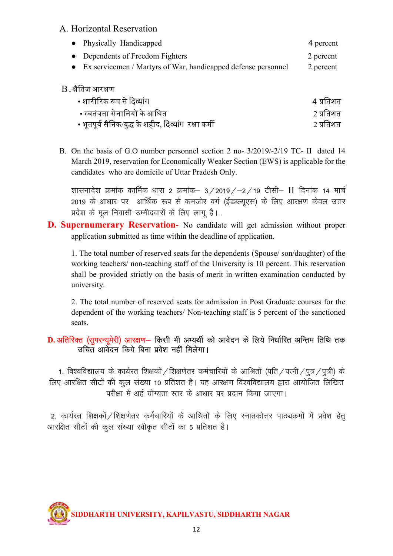#### A. Horizontal Reservation

| • Physically Handicapped                                        | 4 percent |
|-----------------------------------------------------------------|-----------|
| • Dependents of Freedom Fighters                                | 2 percent |
| • Ex servicemen / Martyrs of War, handicapped defense personnel | 2 percent |

#### B. क्षैतिज आरक्षण

| • शारीरिक रूप से दिव्यांग                             | 4 प्रतिशत |
|-------------------------------------------------------|-----------|
| • स्वतंत्रता सेनानियों के आश्रित ।                    | 2 प्रतिशत |
| • भूतपूर्व सैनिक/युद्ध के शहीद, दिव्यांग  रक्षा कर्मी | 2 प्रतिशत |

B. On the basis of G.O number personnel section 2 no- 3/2019/-2/19 TC- II dated 14 March 2019, reservation for Economically Weaker Section (EWS) is applicable for the candidates who are domicile of Uttar Pradesh Only.

शासनादेश क्रमांक कार्मिक धारा 2 क्रमांक– 3/2019/–2/19 टीसी– II दिनांक 14 मार्च 2019 के आधार पर आर्थिक रूप से कमजोर वर्ग (ईडब्ल्युएस) के लिए आरक्षण केवल उत्तर प्रदेश के मूल निवासी उम्मीदवारों के लिए लागू है।.

**D. Supernumerary Reservation-** No candidate will get admission without proper application submitted as time within the deadline of application.

 1. The total number of reserved seats for the dependents (Spouse/ son/daughter) of the working teachers/ non-teaching staff of the University is 10 percent. This reservation shall be provided strictly on the basis of merit in written examination conducted by university.

 2. The total number of reserved seats for admission in Post Graduate courses for the dependent of the working teachers/ Non-teaching staff is 5 percent of the sanctioned seats.

#### D. अतिरिक्त (सुपरन्यूमेरी) आरक्षण- किसी भी अभ्यर्थी को आवेदन के लिये निर्धारित अन्तिम तिथि तक उचित आवेदन किये बिना प्रवेश नहीं मिलेगा।

1. विश्वविद्यालय के कार्यरत शिक्षकों / शिक्षणेतर कर्मचारियों के आश्रितों (पति / पत्नी / पुत्र / पुत्री) के लिए आरक्षित सीटों की कुल संख्या 10 प्रतिशत है। यह आरक्षण विश्वविद्यालय द्वारा आयोजित लिखित परीक्षा में अर्ह योग्यता स्तर के आधार पर प्रदान किया जाएगा।

2. कार्यरत शिक्षकों / शिक्षणेतर कर्मचारियों के आश्रितों के लिए स्नातकोत्तर पाठ्यक्रमों में प्रवेश हेतू आरक्षित सीटों की कूल संख्या स्वीकृत सीटों का 5 प्रतिशत है।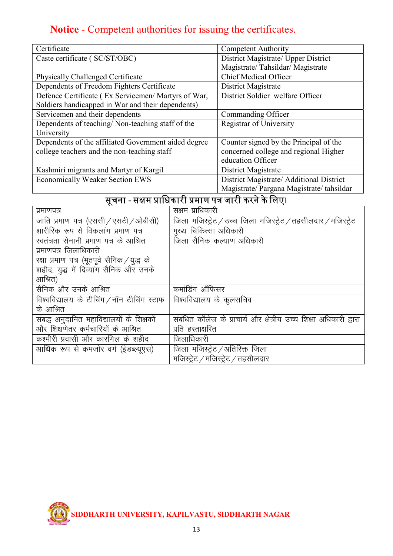# Notice - Competent authorities for issuing the certificates.

| Certificate                                          | <b>Competent Authority</b>                |
|------------------------------------------------------|-------------------------------------------|
| Caste certificate (SC/ST/OBC)                        | District Magistrate/ Upper District       |
|                                                      | Magistrate/Tahsildar/Magistrate           |
| Physically Challenged Certificate                    | <b>Chief Medical Officer</b>              |
| Dependents of Freedom Fighters Certificate           | District Magistrate                       |
| Defence Certificate (Ex Servicemen/Martyrs of War,   | District Soldier welfare Officer          |
| Soldiers handicapped in War and their dependents)    |                                           |
| Servicemen and their dependents                      | Commanding Officer                        |
| Dependents of teaching/Non-teaching staff of the     | <b>Registrar of University</b>            |
| University                                           |                                           |
| Dependents of the affiliated Government aided degree | Counter signed by the Principal of the    |
| college teachers and the non-teaching staff          | concerned college and regional Higher     |
|                                                      | education Officer                         |
| Kashmiri migrants and Martyr of Kargil               | District Magistrate                       |
| <b>Economically Weaker Section EWS</b>               | District Magistrate/ Additional District  |
|                                                      | Magistrate/ Pargana Magistrate/ tahsildar |

# सचू ना - सᭃम ᮧािधकारी ᮧमाण पᮢ जारी करने के िलए।

| प्रमाणपत्र                                   | सक्षम प्राधिकारी                                                                                      |
|----------------------------------------------|-------------------------------------------------------------------------------------------------------|
| जाति प्रमाण पत्र (एससी / एसटी / ओबीसी)       | जिला मजिस्ट्रेट $\overline{/}$ उच्च जिला मजिस्ट्रेट $\overline{/}$ तहसीलदार $\overline{/}$ मजिस्ट्रेट |
| शारीरिक रूप से विकलांग प्रमाण पत्र           | मुख्य चिकित्सा अधिकारी                                                                                |
| स्वतंत्रता सेनानी प्रमाण पत्र के आश्रित      | जिला सैनिक कल्याण अधिकारी                                                                             |
| प्रमाणपत्र जिलाधिकारी                        |                                                                                                       |
| रक्षा प्रमाण पत्र (भूतपूर्व सैनिक / युद्ध के |                                                                                                       |
| शहीद, युद्ध में दिव्यांग सैनिक और उनके       |                                                                                                       |
| आश्रित)                                      |                                                                                                       |
| सैनिक और उनके आश्रित                         | कमांडिंग ऑफिसर                                                                                        |
| विश्वविद्यालय के टीचिंग / नॉन टीचिंग स्टाफ   | विश्वविद्यालय के कुलसचिव                                                                              |
| के आश्रित                                    |                                                                                                       |
| संबद्ध अनुदानित महाविद्यालयों के शिक्षकों    | संबंधित कॉलेज के प्राचार्य और क्षेत्रीय उच्च शिक्षा अधिकारी द्वारा                                    |
| और शिक्षणेतर कर्मचारियों के आश्रित           |                                                                                                       |
|                                              | प्रति हस्ताक्षरित                                                                                     |
| कश्मीरी प्रवासी और कारगिल के शहीद            | जिलाधिकारी                                                                                            |
| आर्थिक रूप से कमजोर वर्ग (ईडब्ल्यूएस)        | जिला मजिस्ट्रेट ⁄ अतिरिक्त जिला                                                                       |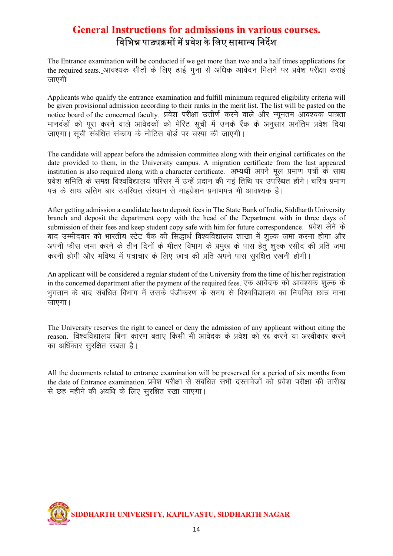# General Instructions for admissions in various courses. विभिन्न पाठ्यक्रमों में प्रवेश के लिए सामान्य निर्देश

The Entrance examination will be conducted if we get more than two and a half times applications for the required seats. आवश्यक सीटों के लिए ढाई गुना से अधिक आवेदन मिलने पर प्रवेश परीक्षा कराई जाएगी

Applicants who qualify the entrance examination and fulfill minimum required eligibility criteria will be given provisional admission according to their ranks in the merit list. The list will be pasted on the notice board of the concerned faculty. प्रवेश परीक्षा उत्तीर्ण करने वाले और न्यूनतम आवश्यक पात्रता मानदंडों को पूरा करने वाले आवेदकों को मेरिट सूची में उनके रैंक के अनुसार अनंतिम प्रवेश दिया जाएगा। सूची संबंधित संकाय के नोटिस बोर्ड पर चरपा की जाएगी।

The candidate will appear before the admission committee along with their original certificates on the date provided to them, in the University campus. A migration certificate from the last appeared institution is also required along with a character certificate. अभ्यर्थी अपने मूल प्रमाण पत्रों के साथ प्रवेश समिति के समक्ष विश्वविद्यालय परिसर में उन्हें प्रदान की गई तिथि पर उपरिथत होंगे। चरित्र प्रमाण पत्र के साथ अंतिम बार उपस्थित संस्थान से माइग्रेशन प्रमाणपत्र भी आवश्यक है।

After getting admission a candidate has to deposit fees in The State Bank of India, Siddharth University branch and deposit the department copy with the head of the Department with in three days of submission of their fees and keep student copy safe with him for future correspondence. प्रवेश लेने के बाद उम्मीदवार को भारतीय स्टेट बैंक की सिद्धार्थ विश्वविद्यालय शाखा में शल्क जमा करना होगा और अपनी फीस जमा करने के तीन दिनों के भीतर विभाग के प्रमुख के पास हेतूँ शुल्क रसीद की प्रति जमा करनी होगी और भविष्य में पत्राचार के लिए छात्र की प्रति अपने पास सूरक्षित रखनी होगी।

An applicant will be considered a regular student of the University from the time of his/her registration in the concerned department after the payment of the required fees. एक आवेदक को आवश्यक शुल्क के भगतान के बाद संबंधित विभाग में उसके पंजीकरण के समय से विश्वविद्यालय का नियमित छात्र माना  $\overline{3}$ <sub> $\overline{1}$ </sub>

The University reserves the right to cancel or deny the admission of any applicant without citing the reason. विश्वविद्यालय बिना कारण बताए किसी भी आवेदक के प्रवेश को रद्द करने या अस्वीकार करने का अधिकार सुरक्षित रखता है।

All the documents related to entrance examination will be preserved for a period of six months from the date of Entrance examination. प्रवेश परीक्षा से संबंधित सभी दस्तावेजों को प्रवेश परीक्षा की तारीख से छह महीने की अवधि के लिए सुरक्षित रखा जाएगा।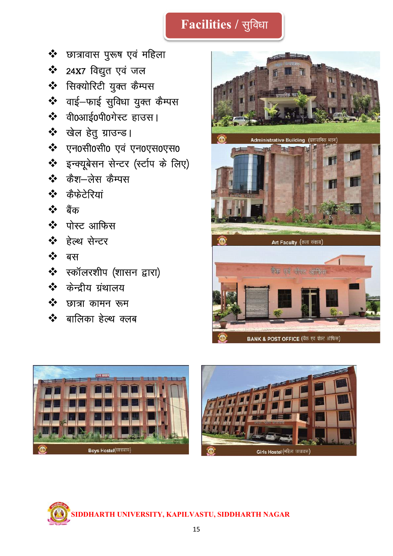# Facilities / सुविधा

- ❖ छात्रावास पुरूष एवं महिला
- ❖ 24X7 विद्युत एवं जल
- ❖ सिक्योरिटी युक्त कैम्पस
- ❖ वाई-फाई सुविधा युक्त कैम्पस
- ❖ वी0आई0पी0गेस्ट हाउस।
- ❖ खेल हेतु ग्राउन्ड।
- ❖ एन0सी0सी0 एवं एन0एस0एस0
- \* इन्क्यूबेसन सेन्टर (स्टीप के लिए)
- $\mathbf{\hat{v}}$  कैश-लेस कैम्पस
- ❖ कैफेटेरियां
- ❖ बैंक
- ❖ पोस्ट आफिस
- ❖ हेल्थ सेन्टर
- ❖ बस
- \* स्कॉलरशीप (शासन द्वारा)
- ❖ केन्द्रीय ग्रंथालय
- $\mathbf{\hat{v}}$  छात्रा कामन रूम
- $\mathbf{\hat{v}}$  बालिका हेल्थ क्लब